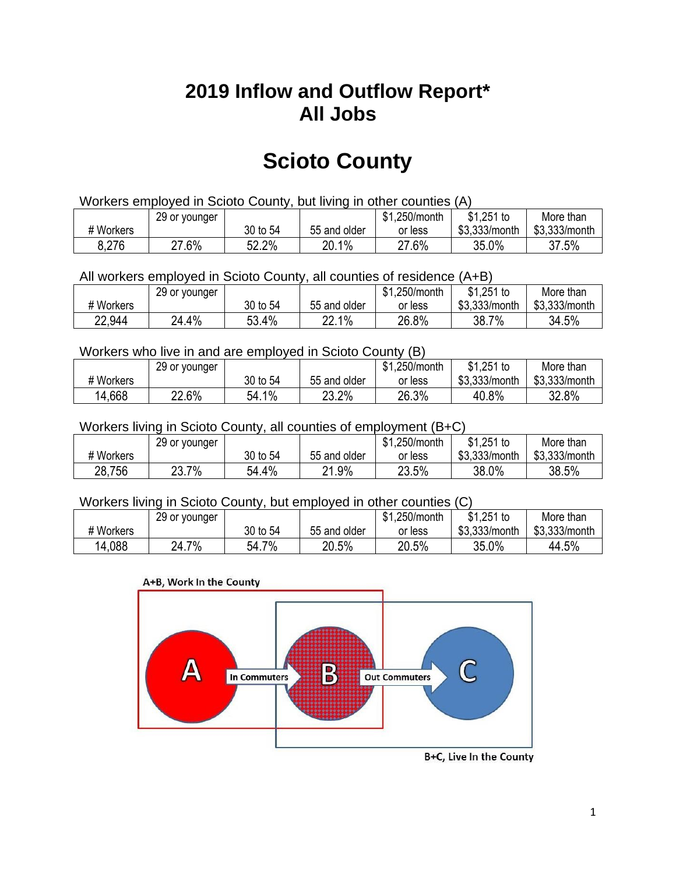## **2019 Inflow and Outflow Report\* All Jobs**

# **Scioto County**

| Workers employed in Scioto County, but living in other counties (A) |                                                           |          |              |         |               |               |  |  |  |
|---------------------------------------------------------------------|-----------------------------------------------------------|----------|--------------|---------|---------------|---------------|--|--|--|
|                                                                     | \$1.251 to<br>\$1.250/month<br>More than<br>29 or younger |          |              |         |               |               |  |  |  |
| # Workers                                                           |                                                           | 30 to 54 | 55 and older | or less | \$3.333/month | \$3,333/month |  |  |  |
| 8,276                                                               | 27.6%                                                     | 52.2%    | 20.1%        | 27.6%   | 35.0%         | 37.5%         |  |  |  |

All workers employed in Scioto County, all counties of residence (A+B)

|           | 29 or younger |          |              | \$1,250/month | \$1,251 to    | More than     |
|-----------|---------------|----------|--------------|---------------|---------------|---------------|
| # Workers |               | 30 to 54 | 55 and older | or less       | \$3,333/month | \$3,333/month |
| 22,944    | 24.4%         | 53.4%    | 22.1%        | 26.8%         | 38.7<br>7%    | 34.5%         |

#### Workers who live in and are employed in Scioto County (B)

|           | 29 or younger |          |              | \$1,250/month | $$1,251$ to   | More than     |
|-----------|---------------|----------|--------------|---------------|---------------|---------------|
| # Workers |               | 30 to 54 | 55 and older | or less       | \$3,333/month | \$3,333/month |
| 4,668     | 22.6%         | 54.1%    | 23.2%        | 26.3%         | 40.8%         | 32.8%         |

#### Workers living in Scioto County, all counties of employment (B+C)

|           | 29 or younger |          |              | \$1,250/month | \$1,251 to    | More than     |
|-----------|---------------|----------|--------------|---------------|---------------|---------------|
| # Workers |               | 30 to 54 | 55 and older | or less       | \$3,333/month | \$3,333/month |
| 28,756    | 23.7%         | 54.4%    | 21.9%        | 23.5%         | 38.0%         | 38.5%         |

#### Workers living in Scioto County, but employed in other counties (C)

|           | 29 or younger |            |              | \$1,250/month | $$1,251$ to   | More than     |
|-----------|---------------|------------|--------------|---------------|---------------|---------------|
| # Workers |               | 30 to 54   | 55 and older | or less       | \$3,333/month | \$3,333/month |
| 14,088    | 7%<br>24.7    | 7%<br>54.7 | 20.5%        | 20.5%         | 35.0%         | 44.5%         |

#### A+B, Work In the County



B+C, Live In the County